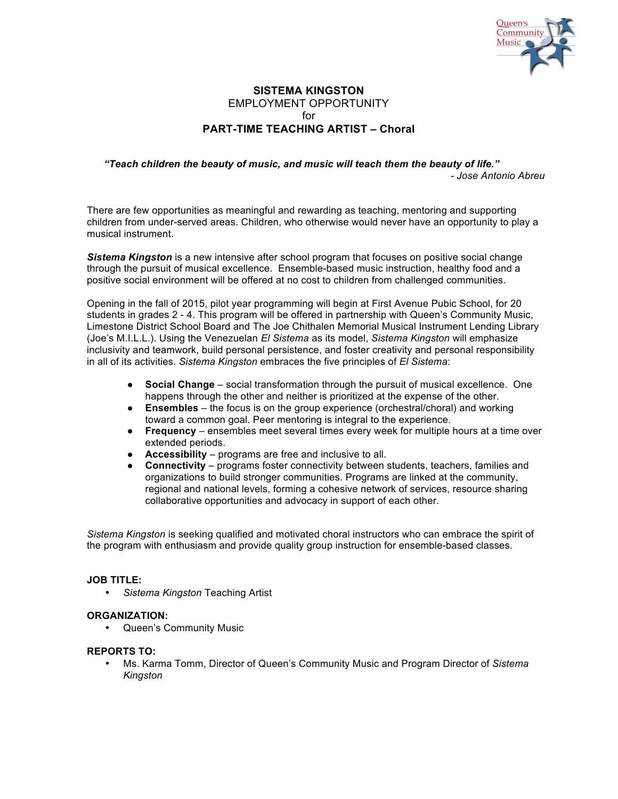

# **SISTEMA KINGSTON** EMPLOYMENT OPPORTUNITY  $for$ **PART-TIME TEACHING ARTIST – Choral**

### *"Teach children the beauty of music, and music will teach them the beauty of life." - Jose Antonio Abreu*

There are few opportunities as meaningful and rewarding as teaching, mentoring and supporting children from under-served areas. Children, who otherwise would never have an opportunity to play a musical instrument.

*Sistema Kingston* is a new intensive after school program that focuses on positive social change through the pursuit of musical excellence. Ensemble-based music instruction, healthy food and a positive social environment will be offered at no cost to children from challenged communities.

Opening in the fall of 2015, pilot year programming will begin at First Avenue Pubic School, for 20 students in grades 2 - 4. This program will be offered in partnership with Queen's Community Music, Limestone District School Board and The Joe Chithalen Memorial Musical Instrument Lending Library (Joe's M.I.L.L.). Using the Venezuelan *El Sistema* as its model, *Sistema Kingston* will emphasize inclusivity and teamwork, build personal persistence, and foster creativity and personal responsibility in all of its activities. *Sistema Kingston* embraces the five principles of *El Sistema*:

- **Social Change** social transformation through the pursuit of musical excellence. One happens through the other and neither is prioritized at the expense of the other.
- **Ensembles** the focus is on the group experience (orchestral/choral) and working toward a common goal. Peer mentoring is integral to the experience.
- **Frequency** ensembles meet several times every week for multiple hours at a time over extended periods.
- **Accessibility** programs are free and inclusive to all.
- **Connectivity** programs foster connectivity between students, teachers, families and organizations to build stronger communities. Programs are linked at the community, regional and national levels, forming a cohesive network of services, resource sharing collaborative opportunities and advocacy in support of each other.

*Sistema Kingston* is seeking qualified and motivated choral instructors who can embrace the spirit of the program with enthusiasm and provide quality group instruction for ensemble-based classes.

### **JOB TITLE:**

• *Sistema Kingston* Teaching Artist

### **ORGANIZATION:**

• Queen's Community Music

## **REPORTS TO:**

• Ms. Karma Tomm, Director of Queen's Community Music and Program Director of *Sistema Kingston*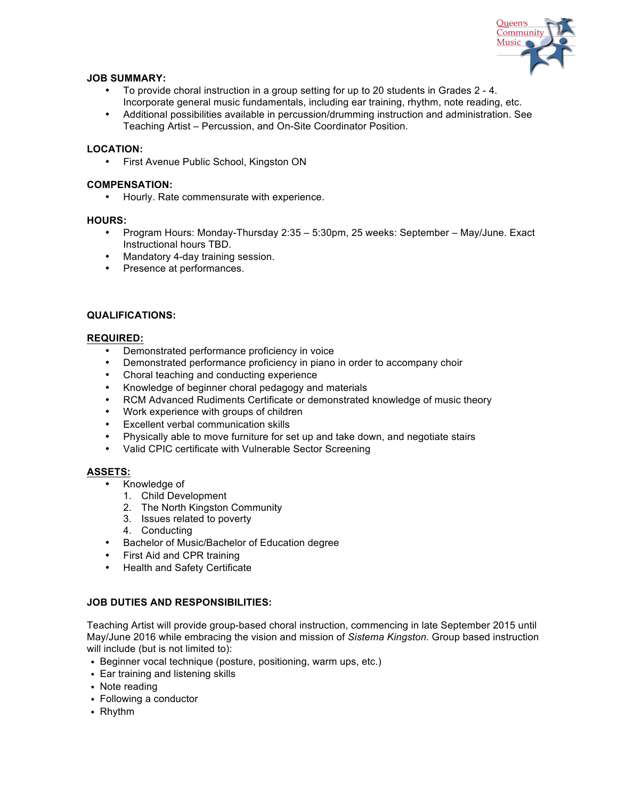

# **JOB SUMMARY:**

- To provide choral instruction in a group setting for up to 20 students in Grades 2 4. Incorporate general music fundamentals, including ear training, rhythm, note reading, etc.
- Additional possibilities available in percussion/drumming instruction and administration. See Teaching Artist – Percussion, and On-Site Coordinator Position.

## **LOCATION:**

• First Avenue Public School, Kingston ON

## **COMPENSATION:**

• Hourly. Rate commensurate with experience.

### **HOURS:**

- Program Hours: Monday-Thursday 2:35 5:30pm, 25 weeks: September May/June. Exact Instructional hours TBD.
- Mandatory 4-day training session.
- Presence at performances.

# **QUALIFICATIONS:**

# **REQUIRED:**

- Demonstrated performance proficiency in voice
- Demonstrated performance proficiency in piano in order to accompany choir
- Choral teaching and conducting experience
- Knowledge of beginner choral pedagogy and materials
- RCM Advanced Rudiments Certificate or demonstrated knowledge of music theory
- Work experience with groups of children
- Excellent verbal communication skills
- Physically able to move furniture for set up and take down, and negotiate stairs
- Valid CPIC certificate with Vulnerable Sector Screening

# **ASSETS:**

- Knowledge of
	- 1. Child Development
	- 2. The North Kingston Community
	- 3. Issues related to poverty
	- 4. Conducting
- Bachelor of Music/Bachelor of Education degree
- First Aid and CPR training
- Health and Safety Certificate

# **JOB DUTIES AND RESPONSIBILITIES:**

Teaching Artist will provide group-based choral instruction, commencing in late September 2015 until May/June 2016 while embracing the vision and mission of *Sistema Kingston*. Group based instruction will include (but is not limited to):

- Beginner vocal technique (posture, positioning, warm ups, etc.)
- Ear training and listening skills
- Note reading
- Following a conductor
- Rhythm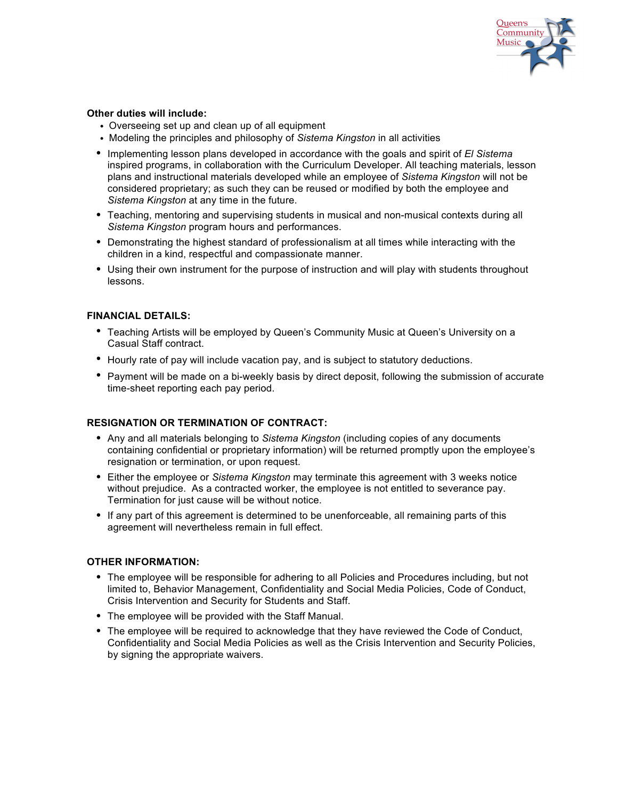

# **Other duties will include:**

- Overseeing set up and clean up of all equipment
- Modeling the principles and philosophy of *Sistema Kingston* in all activities
- Implementing lesson plans developed in accordance with the goals and spirit of *El Sistema* inspired programs, in collaboration with the Curriculum Developer. All teaching materials, lesson plans and instructional materials developed while an employee of *Sistema Kingston* will not be considered proprietary; as such they can be reused or modified by both the employee and *Sistema Kingston* at any time in the future.
- Teaching, mentoring and supervising students in musical and non-musical contexts during all *Sistema Kingston* program hours and performances.
- Demonstrating the highest standard of professionalism at all times while interacting with the children in a kind, respectful and compassionate manner.
- Using their own instrument for the purpose of instruction and will play with students throughout lessons.

# **FINANCIAL DETAILS:**

- Teaching Artists will be employed by Queen's Community Music at Queen's University on a Casual Staff contract.
- Hourly rate of pay will include vacation pay, and is subject to statutory deductions.
- Payment will be made on a bi-weekly basis by direct deposit, following the submission of accurate time-sheet reporting each pay period.

### **RESIGNATION OR TERMINATION OF CONTRACT:**

- Any and all materials belonging to *Sistema Kingston* (including copies of any documents containing confidential or proprietary information) will be returned promptly upon the employee's resignation or termination, or upon request.
- Either the employee or *Sistema Kingston* may terminate this agreement with 3 weeks notice without prejudice. As a contracted worker, the employee is not entitled to severance pay. Termination for just cause will be without notice.
- If any part of this agreement is determined to be unenforceable, all remaining parts of this agreement will nevertheless remain in full effect.

## **OTHER INFORMATION:**

- The employee will be responsible for adhering to all Policies and Procedures including, but not limited to, Behavior Management, Confidentiality and Social Media Policies, Code of Conduct, Crisis Intervention and Security for Students and Staff.
- The employee will be provided with the Staff Manual.
- The employee will be required to acknowledge that they have reviewed the Code of Conduct, Confidentiality and Social Media Policies as well as the Crisis Intervention and Security Policies, by signing the appropriate waivers.